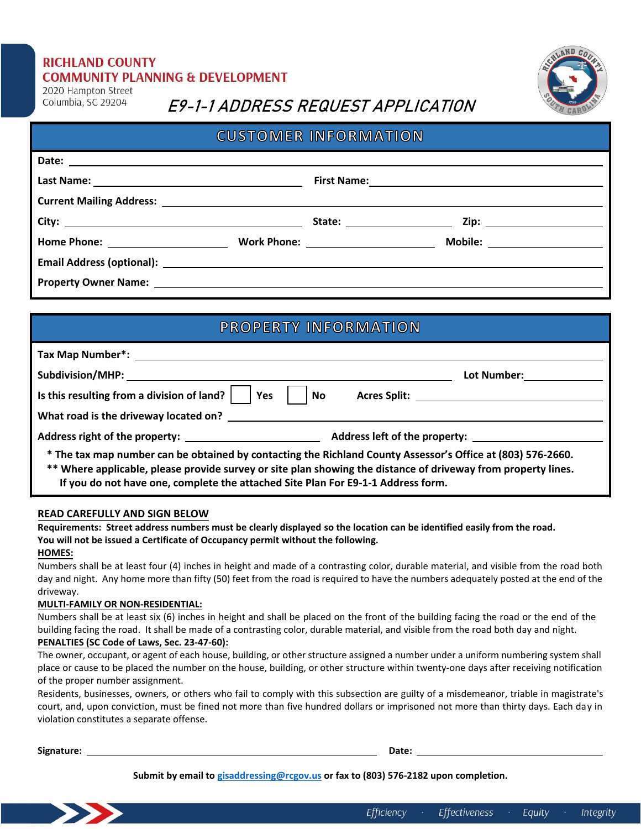### **RICHLAND COUNTY COMMUNITY PLANNING & DEVELOPMENT**

2020 Hampton Street Columbia, SC 29204

## E9-1-1 ADDRESS REQUEST APPLICATION

| <b>CUSTOMER INFORMATION</b>                                                                                                                                                                                                    |  |  |
|--------------------------------------------------------------------------------------------------------------------------------------------------------------------------------------------------------------------------------|--|--|
|                                                                                                                                                                                                                                |  |  |
| First Name: 1999 and 2009 and 2009 and 2009 and 2009 and 2009 and 2009 and 2009 and 2009 and 2009 and 2009 and                                                                                                                 |  |  |
|                                                                                                                                                                                                                                |  |  |
|                                                                                                                                                                                                                                |  |  |
|                                                                                                                                                                                                                                |  |  |
|                                                                                                                                                                                                                                |  |  |
| Property Owner Name: Department of the Contract of the Contract of the Contract of the Contract of the Contract of the Contract of the Contract of the Contract of the Contract of the Contract of the Contract of the Contrac |  |  |
|                                                                                                                                                                                                                                |  |  |

### **PROPERTY INFORMATION**

| <b>Subdivision/MHP:</b> Subdivision/MHP:                                                                                                                                                                                                                                                                         | Lot Number: when the control of the control of the control of the control of the control of the control of the |
|------------------------------------------------------------------------------------------------------------------------------------------------------------------------------------------------------------------------------------------------------------------------------------------------------------------|----------------------------------------------------------------------------------------------------------------|
| Is this resulting from a division of land?<br>Yes                                                                                                                                                                                                                                                                | <b>No</b>                                                                                                      |
| What road is the driveway located on? The state of the state of the state of the state of the state of the state of the state of the state of the state of the state of the state of the state of the state of the state of th                                                                                   |                                                                                                                |
|                                                                                                                                                                                                                                                                                                                  | Address left of the property:                                                                                  |
| * The tax map number can be obtained by contacting the Richland County Assessor's Office at (803) 576-2660.<br>** Where applicable, please provide survey or site plan showing the distance of driveway from property lines.<br>If you do not have one, complete the attached Site Plan For E9-1-1 Address form. |                                                                                                                |

### **READ CAREFULLY AND SIGN BELOW**

**Requirements: Street address numbers must be clearly displayed so the location can be identified easily from the road. You will not be issued a Certificate of Occupancy permit without the following.** 

### **HOMES:**

Numbers shall be at least four (4) inches in height and made of a contrasting color, durable material, and visible from the road both day and night. Any home more than fifty (50) feet from the road is required to have the numbers adequately posted at the end of the driveway.

### **MULTI-FAMILY OR NON-RESIDENTIAL:**

Numbers shall be at least six (6) inches in height and shall be placed on the front of the building facing the road or the end of the building facing the road. It shall be made of a contrasting color, durable material, and visible from the road both day and night.

### **PENALTIES (SC Code of Laws, Sec. 23-47-60):**

The owner, occupant, or agent of each house, building, or other structure assigned a number under a uniform numbering system shall place or cause to be placed the number on the house, building, or other structure within twenty-one days after receiving notification of the proper number assignment.

Residents, businesses, owners, or others who fail to comply with this subsection are guilty of a misdemeanor, triable in magistrate's court, and, upon conviction, must be fined not more than five hundred dollars or imprisoned not more than thirty days. Each day in violation constitutes a separate offense.

**Signature: Date:** 

**Submit by email to [gisaddressing@rcgov.us](mailto:gisaddressing@rcgov.us) or fax to (803) 576-2182 upon completion.**